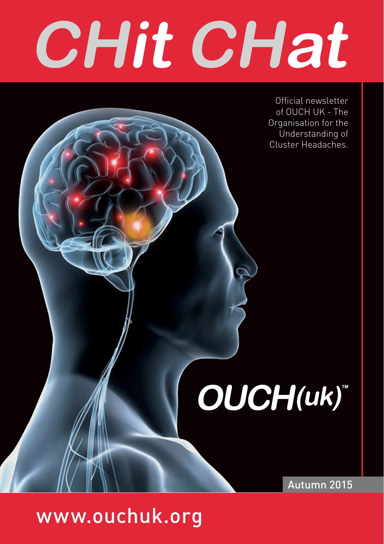# CHit CHat

Official newsletter of OUCH UK - The Organisation for the Understanding of Cluster Headaches.

OUCH(uk)

Autumn 2015

www.ouchuk.org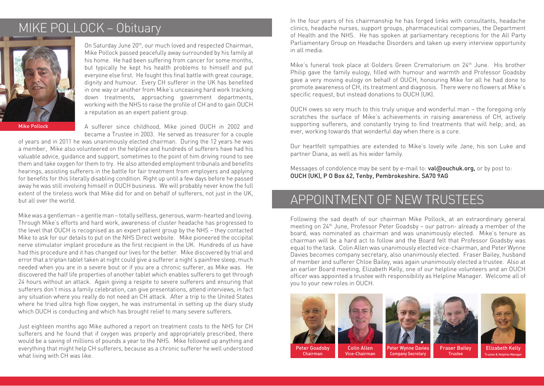## MIKE POLLOCK – Obituary



On Saturday June 20<sup>th</sup>, our much loved and respected Chairman, Mike Pollock passed peacefully away surrounded by his family at his home. He had been suffering from cancer for some months, but typically he kept his health problems to himself and put everyone else first. He fought this final battle with great courage, dignity and humour. Every CH sufferer in the UK has benefited in one way or another from Mike's unceasing hard work tracking down treatments, approaching government departments, working with the NHS to raise the profile of CH and to gain OUCH a reputation as an expert patient group.

Mike Pollock

A sufferer since childhood, Mike joined OUCH in 2002 and became a Trustee in 2003. He served as treasurer for a couple

of years and in 2011 he was unanimously elected chairman. During the 12 years he was a member, Mike also volunteered on the helpline and hundreds of sufferers have had his valuable advice, guidance and support, sometimes to the point of him driving round to see them and take oxygen for them to try. He also attended employment tribunals and benefits hearings, assisting sufferers in the battle for fair treatment from employers and applying for benefits for this literally disabling condition. Right up until a few days before he passed away he was still involving himself in OUCH business. We will probably never know the full extent of the tireless work that Mike did for and on behalf of sufferers, not just in the UK, but all over the world.

Mike was a gentleman – a gentle man – totally selfless, generous, warm-hearted and loving. Through Mike's efforts and hard work, awareness of cluster headache has progressed to the level that OUCH is recognised as an expert patient group by the NHS – they contacted Mike to ask for our details to put on the NHS Direct website. Mike pioneered the occipital nerve stimulator implant procedure as the first recipient in the UK. Hundreds of us have had this procedure and it has changed our lives for the better. Mike discovered by trial and error that a triptan tablet taken at night could give a sufferer a night's painfree sleep, much needed when you are in a severe bout or if you are a chronic sufferer, as Mike was. He discovered the half life properties of another tablet which enables sufferers to get through 24 hours without an attack. Again giving a respite to severe sufferers and ensuring that sufferers don't miss a family celebration, can give presentations, attend interviews, in fact any situation where you really do not need an CH attack. After a trip to the United States where he tried ultra high flow oxygen, he was instrumental in setting up the diary study which OUCH is conducting and which has brought relief to many severe sufferers.

Just eighteen months ago Mike authored a report on treatment costs to the NHS for CH sufferers and he found that if oxygen was properly and appropriately prescribed, there would be a saving of millions of pounds a year to the NHS. Mike followed up anything and everything that might help CH sufferers, because as a chronic sufferer he well understood what living with CH was like.

In the four years of his chairmanship he has forged links with consultants, headache clinics, headache nurses, support groups, pharmaceutical companies, the Department of Health and the NHS. He has spoken at parliamentary receptions for the All Party Parliamentary Group on Headache Disorders and taken up every interview opportunity in all media.

Mike's funeral took place at Golders Green Crematorium on 24th June. His brother Philip gave the family eulogy, filled with humour and warmth and Professor Goadsby gave a very moving eulogy on behalf of OUCH, honouring Mike for all he had done to promote awareness of CH, its treatment and diagnosis. There were no flowers at Mike's specific request, but instead donations to OUCH (UK).

OUCH owes so very much to this truly unique and wonderful man – the foregoing only scratches the surface of Mike's achievements in raising awareness of CH, actively supporting sufferers, and constantly trying to find treatments that will help; and, as ever, working towards that wonderful day when there is a cure.

Our heartfelt sympathies are extended to Mike's lovely wife Jane, his son Luke and partner Diana, as well as his wider family.

Messages of condolence may be sent by e-mail to:  $value$   $value$ ,  $or$   $div$   $post$  to: OUCH (UK), P O Box 62, Tenby, Pembrokeshire. SA70 9AG

## APPOINTMENT OF NEW TRUSTEES

Following the sad death of our chairman Mike Pollock, at an extraordinary general meeting on 24th June, Professor Peter Goadsby – our patron- already a member of the board, was nominated as chairman and was unanimously elected. Mike's tenure as chairman will be a hard act to follow and the Board felt that Professor Goadsby was equal to the task. Colin Allen was unanimously elected vice-chairman, and Peter Wynne Davies becomes company secretary, also unanimously elected. Fraser Bailey, husband of member and sufferer Chloe Bailey, was again unanimously elected a trustee. Also at an earlier Board meeting, Elizabeth Kelly, one of our helpline volunteers and an OUCH officer was appointed a trustee with responsibility as Helpline Manager. Welcome all of you to your new roles in OUCH.







Trustee



Peter Goadsby Chairman

Colin Allen Vice-Chairman

Fraser Bailey Peter Wynne Davies Company Secretary

Elizabeth Kelly .<br>Trustee & Helpline Man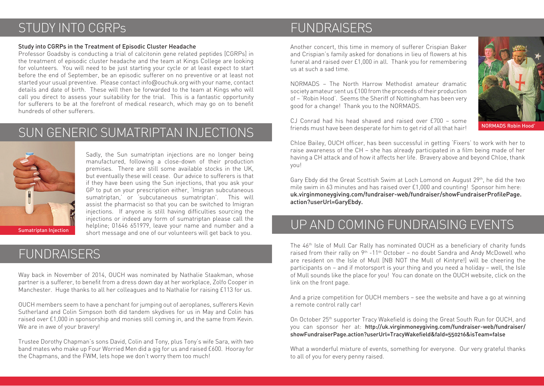#### STUDY INTO CGRPs

#### Study into CGRPs in the Treatment of Episodic Cluster Headache

Professor Goadsby is conducting a trial of calcitonin gene related peptides [CGRPs] in the treatment of episodic cluster headache and the team at Kings College are looking for volunteers. You will need to be just starting your cycle or at least expect to start before the end of September, be an episodic sufferer on no preventive or at least not started your usual preventive. Please contact info@ouchuk.org with your name, contact details and date of birth. These will then be forwarded to the team at Kings who will call you direct to assess your suitability for the trial. This is a fantastic opportunity for sufferers to be at the forefront of medical research, which may go on to benefit hundreds of other sufferers.

#### SUN GENERIC SUMATRIPTAN INJECTIONS



Sadly, the Sun sumatriptan injections are no longer being manufactured, following a close-down of their production premises. There are still some available stocks in the UK, but eventually these will cease. Our advice to sufferers is that if they have been using the Sun injections, that you ask your GP to put on your prescription either, 'Imigran subcutaneous sumatriptan,' or 'subcutaneous sumatriptan'. This will assist the pharmacist so that you can be switched to Imigran injections. If anyone is still having difficulties sourcing the injections or indeed any form of sumatriptan please call the helpline; 01646 651979, leave your name and number and a short message and one of our volunteers will get back to you.

#### FUNDRAISERS

Way back in November of 2014, OUCH was nominated by Nathalie Staakman, whose partner is a sufferer, to benefit from a dress down day at her workplace, Zolfo Cooper in Manchester. Huge thanks to all her colleagues and to Nathalie for raising £113 for us.

OUCH members seem to have a penchant for jumping out of aeroplanes, sufferers Kevin Sutherland and Colin Simpson both did tandem skydives for us in May and Colin has raised over £1,000 in sponsorship and monies still coming in, and the same from Kevin. We are in awe of your bravery!

Trustee Dorothy Chapman's sons David, Colin and Tony, plus Tony's wife Sara, with two band mates who make up Four Worried Men did a gig for us and raised £600. Hooray for the Chapmans, and the FWM, lets hope we don't worry them too much!

#### FUNDRAISERS

Another concert, this time in memory of sufferer Crispian Baker and Crispian's family asked for donations in lieu of flowers at his funeral and raised over £1,000 in all. Thank you for remembering us at such a sad time.

NORMADS – The North Harrow Methodist amateur dramatic society amateur sent us £100 from the proceeds of their production of – 'Robin Hood'. Seems the Sheriff of Nottingham has been very good for a change! Thank you to the NORMADS.

CJ Conrad had his head shaved and raised over £700 – some friends must have been desperate for him to get rid of all that hair!



NORMADS Robin Hood'

Chloe Bailey, OUCH officer, has been successful in getting 'Fixers' to work with her to raise awareness of the CH – she has already participated in a film being made of her having a CH attack and of how it affects her life. Bravery above and beyond Chloe, thank you!

Gary Ebdy did the Great Scottish Swim at Loch Lomond on August 29th, he did the two mile swim in 63 minutes and has raised over £1,000 and counting! Sponsor him here: uk.virginmoneygiving.com/fundraiser-web/fundraiser/showFundraiserProfilePage. action?userUrl=GaryEbdy.

## UP AND COMING FUNDRAISING EVENTS

The 46th Isle of Mull Car Rally has nominated OUCH as a beneficiary of charity funds raised from their rally on  $9<sup>th</sup> -11<sup>th</sup>$  October – no doubt Sandra and Andy McDowell who are resident on the Isle of Mull [NB NOT the Mull of Kintyre!] will be cheering the participants on – and if motorsport is your thing and you need a holiday – well, the Isle of Mull sounds like the place for you! You can donate on the OUCH website, click on the link on the front page.

And a prize competition for OUCH members – see the website and have a go at winning a remote control rally car!

On October 25th supporter Tracy Wakefield is doing the Great South Run for OUCH, and you can sponsor her at: http://uk.virginmoneygiving.com/fundraiser-web/fundraiser/ showFundraiserPage.action?userUrl=TracyWakefield&faId=550216&isTeam=false

What a wonderful mixture of events, something for everyone. Our very grateful thanks to all of you for every penny raised.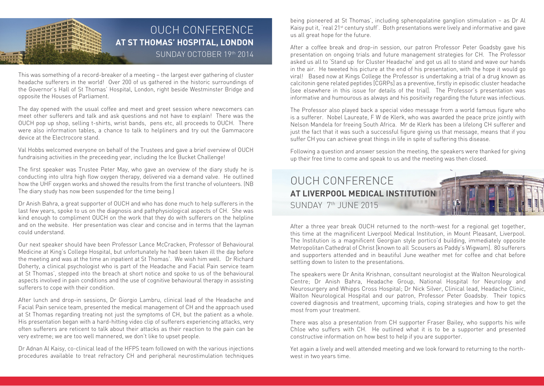#### OUCH CONFERENCE **AT ST THOMAS' HOSPITAL, LONDON THE RE** SUNDAY OCTOBER 19th 2014

This was something of a record-breaker of a meeting – the largest ever gathering of cluster headache sufferers in the world! Over 200 of us gathered in the historic surroundings of the Governor's Hall of St Thomas' Hospital, London, right beside Westminster Bridge and opposite the Houses of Parliament.

The day opened with the usual coffee and meet and greet session where newcomers can meet other sufferers and talk and ask questions and not have to explain! There was the OUCH pop up shop, selling t-shirts, wrist bands, pens etc, all proceeds to OUCH. There were also information tables, a chance to talk to helpliners and try out the Gammacore device at the Electrocore stand.

Val Hobbs welcomed everyone on behalf of the Trustees and gave a brief overview of OUCH fundraising activities in the preceeding year, including the Ice Bucket Challenge!

The first speaker was Trustee Peter May, who gave an overview of the diary study he is conducting into ultra high flow oxygen therapy, delivered via a demand valve. He outlined how the UHF oxygen works and showed the results from the first tranche of volunteers. (NB The diary study has now been suspended for the time being.)

Dr Anish Bahra, a great supporter of OUCH and who has done much to help sufferers in the last few years, spoke to us on the diagnosis and pathphysiological aspects of CH. She was kind enough to compliment OUCH on the work that they do with sufferers on the helpline and on the website. Her presentation was clear and concise and in terms that the layman could understand.

Our next speaker should have been Professor Lance McCracken, Professor of Behavioural Medicine at King's College Hospital, but unfortunately he had been taken ill the day before the meeting and was at the time an inpatient at St Thomas'. We wish him well. Dr Richard Doherty, a clinical psychologist who is part of the Headache and Facial Pain service team at St Thomas', stepped into the breach at short notice and spoke to us of the behavioural aspects involved in pain conditions and the use of cognitive behavioural therapy in assisting sufferers to cope with their condition.

After lunch and drop-in sessions, Dr Giorgio Lambru, clinical lead of the Headache and Facial Pain service team, presented the medical management of CH and the approach used at St Thomas regarding treating not just the symptoms of CH, but the patient as a whole. His presentation began with a hard-hitting video clip of sufferers experiencing attacks, very often sufferers are reticent to talk about their attacks as their reaction to the pain can be very extreme; we are too well mannered, we don't like to upset people.

Dr Adnan Al Kaisy, co-clinical lead of the HFPS team followed on with the various injections procedures available to treat refractory CH and peripheral neurostimulation techniques

being pioneered at St Thomas', including sphenopalatine ganglion stimulation – as Dr Al Kaisy put it, 'real 21st century stuff'. Both presentations were lively and informative and gave us all great hope for the future.

After a coffee break and drop-in session, our patron Professor Peter Goadsby gave his presentation on ongoing trials and future management strategies for CH. The Professor asked us all to 'Stand up for Cluster Headache' and got us all to stand and wave our hands in the air. He tweeted his picture at the end of his presentation, with the hope it would go viral! Based now at Kings College the Professor is undertaking a trial of a drug known as calcitonin gene related peptides [CGRPs] as a preventive, firstly in episodic cluster headache [see elsewhere in this issue for details of the trial]. The Professor's presentation was informative and humourous as always and his positivity regarding the future was infectious.

The Professor also played back a special video message from a world famous figure who is a sufferer. Nobel Laureate, F W de Klerk, who was awarded the peace prize jointly with Nelson Mandela for freeing South Africa. Mr de Klerk has been a lifelong CH sufferer and just the fact that it was such a successful figure giving us that message, means that if you suffer CH you can achieve great things in life in spite of suffering this disease.

Following a question and answer session the meeting, the speakers were thanked for giving up their free time to come and speak to us and the meeting was then closed.

#### OUCH CONFERENCE **AT LIVERPOOL MEDICAL INSTITUTION**  SUNDAY 7th JUNE 2015

After a three year break OUCH returned to the north-west for a regional get together, this time at the magnificent Liverpool Medical Institution, in Mount Pleasant, Liverpool. The Institution is a magnificent Georgian style portico'd building, immediately opposite Metropolitan Cathedral of Christ [known to all Scousers as Paddy's Wigwam]. 80 sufferers and supporters attended and in beautiful June weather met for coffee and chat before settling down to listen to the presentations.

The speakers were Dr Anita Krishnan, consultant neurologist at the Walton Neurological Centre; Dr Anish Bahra, Headache Group, National Hospital for Neurology and Neurosurgery and Whipps Cross Hospital; Dr Nick Silver, Clinical lead, Headache Clinic, Walton Neurological Hospital and our patron, Professor Peter Goadsby. Their topics covered diagnosis and treatment, upcoming trials, coping strategies and how to get the most from your treatment.

There was also a presentation from CH supporter Fraser Bailey, who supports his wife Chloe who suffers with CH. He outlined what it is to be a supporter and presented constructive information on how best to help if you are supporter.

Yet again a lively and well attended meeting and we look forward to returning to the northwest in two years time.